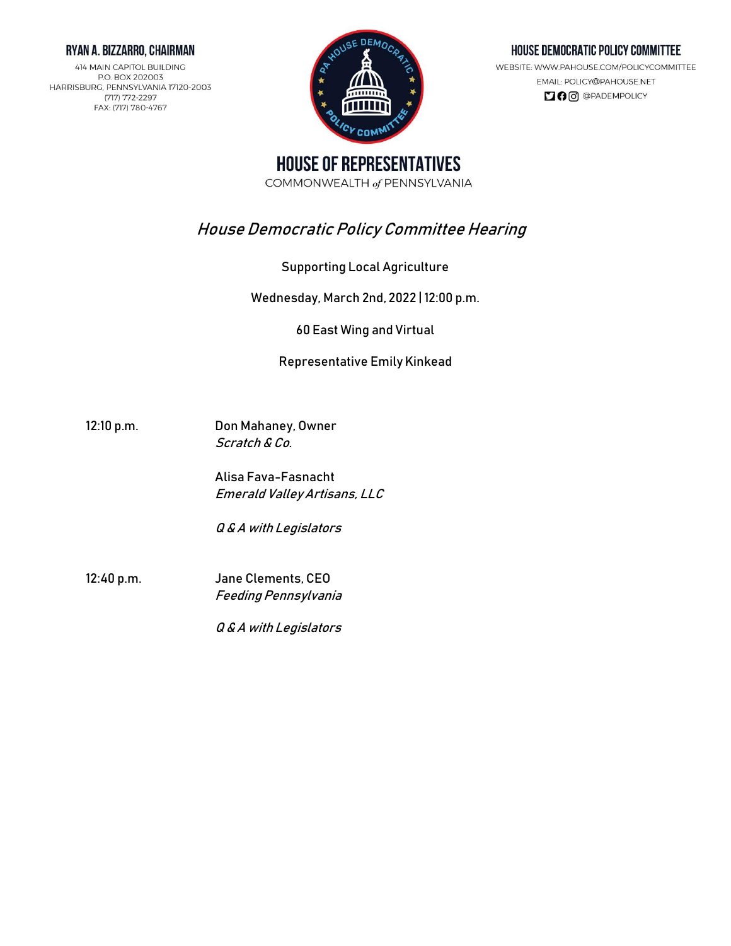### RYAN A. BIZZARRO, CHAIRMAN

414 MAIN CAPITOL BUILDING P.O. BOX 202003 HARRISBURG, PENNSYLVANIA 17120-2003 (717) 772-2297 FAX: (717) 780-4767



## HOUSE DEMOCRATIC POLICY COMMITTEE

WEBSITE: WWW.PAHOUSE.COM/POLICYCOMMITTEE EMAIL: POLICY@PAHOUSE.NET  $\Box$   $\Theta$   $\odot$   $\odot$   $\Theta$   $P$ ADEMPOLICY

**HOUSE OF REPRESENTATIVES** COMMONWEALTH of PENNSYLVANIA

# House Democratic Policy Committee Hearing

Supporting Local Agriculture

Wednesday, March 2nd, 2022 | 12:00 p.m.

60 East Wing and Virtual

## Representative Emily Kinkead

12:10 p.m. Don Mahaney, Owner Scratch & Co.

> Alisa Fava-Fasnacht Emerald Valley Artisans, LLC

Q & A with Legislators

12:40 p.m. Jane Clements, CEO Feeding Pennsylvania

Q & A with Legislators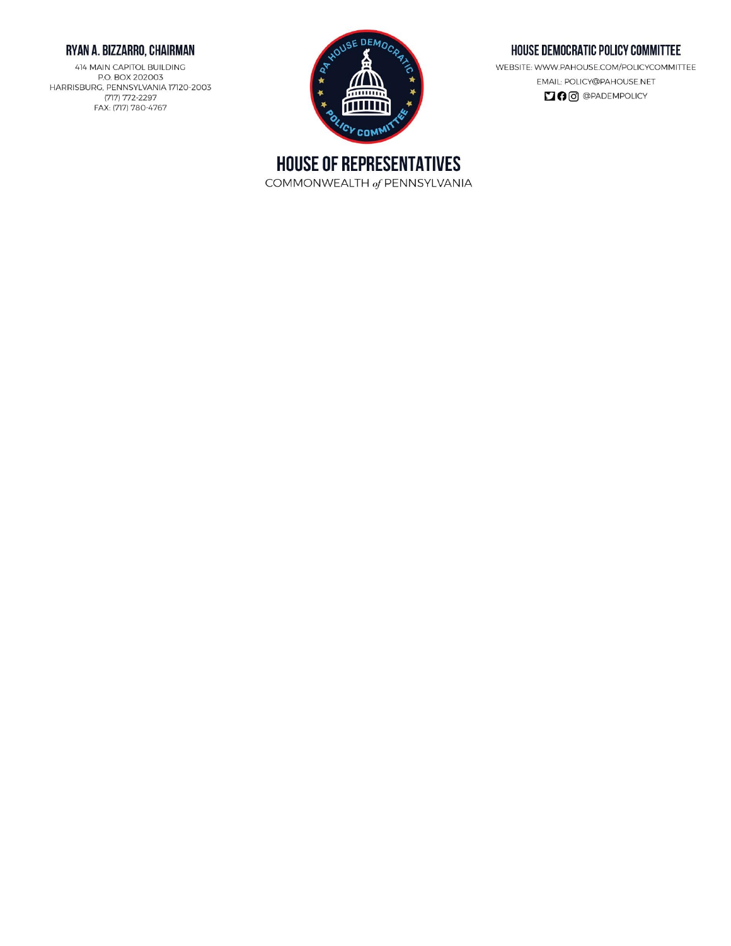## RYAN A. BIZZARRO, CHAIRMAN

414 MAIN CAPITOL BUILDING P.O. BOX 202003 HARRISBURG, PENNSYLVANIA 17120-2003 (717) 772-2297 FAX: (717) 780-4767



## HOUSE DEMOCRATIC POLICY COMMITTEE

WEBSITE: WWW.PAHOUSE.COM/POLICYCOMMITTEE EMAIL: POLICY@PAHOUSE.NET **DO** @PADEMPOLICY

**HOUSE OF REPRESENTATIVES** COMMONWEALTH of PENNSYLVANIA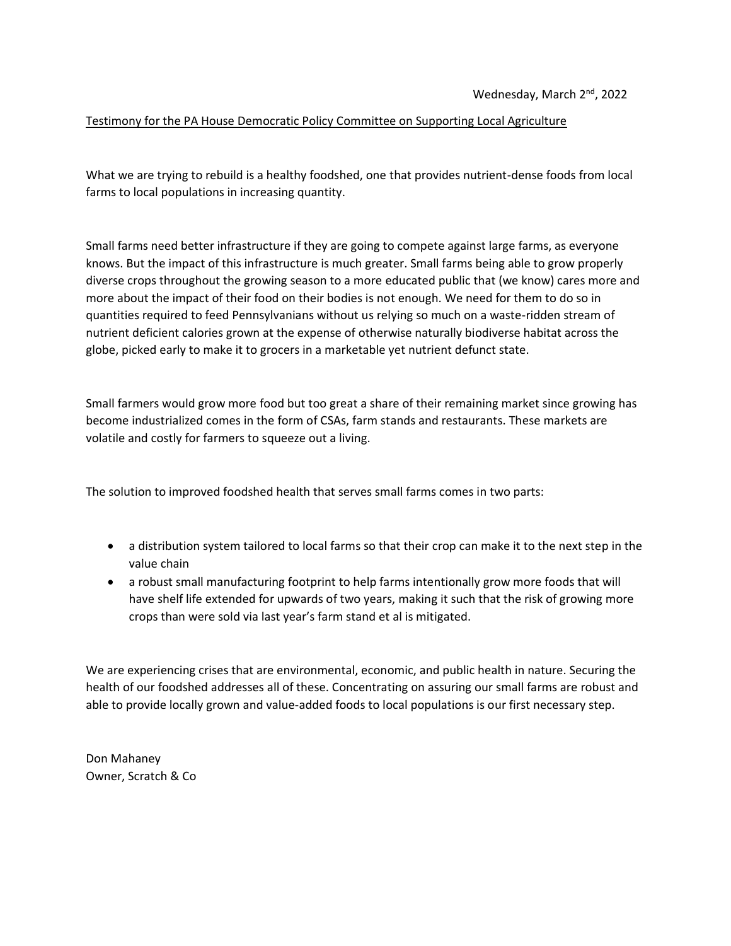### Testimony for the PA House Democratic Policy Committee on Supporting Local Agriculture

What we are trying to rebuild is a healthy foodshed, one that provides nutrient-dense foods from local farms to local populations in increasing quantity.

Small farms need better infrastructure if they are going to compete against large farms, as everyone knows. But the impact of this infrastructure is much greater. Small farms being able to grow properly diverse crops throughout the growing season to a more educated public that (we know) cares more and more about the impact of their food on their bodies is not enough. We need for them to do so in quantities required to feed Pennsylvanians without us relying so much on a waste-ridden stream of nutrient deficient calories grown at the expense of otherwise naturally biodiverse habitat across the globe, picked early to make it to grocers in a marketable yet nutrient defunct state.

Small farmers would grow more food but too great a share of their remaining market since growing has become industrialized comes in the form of CSAs, farm stands and restaurants. These markets are volatile and costly for farmers to squeeze out a living.

The solution to improved foodshed health that serves small farms comes in two parts:

- a distribution system tailored to local farms so that their crop can make it to the next step in the value chain
- a robust small manufacturing footprint to help farms intentionally grow more foods that will have shelf life extended for upwards of two years, making it such that the risk of growing more crops than were sold via last year's farm stand et al is mitigated.

We are experiencing crises that are environmental, economic, and public health in nature. Securing the health of our foodshed addresses all of these. Concentrating on assuring our small farms are robust and able to provide locally grown and value-added foods to local populations is our first necessary step.

Don Mahaney Owner, Scratch & Co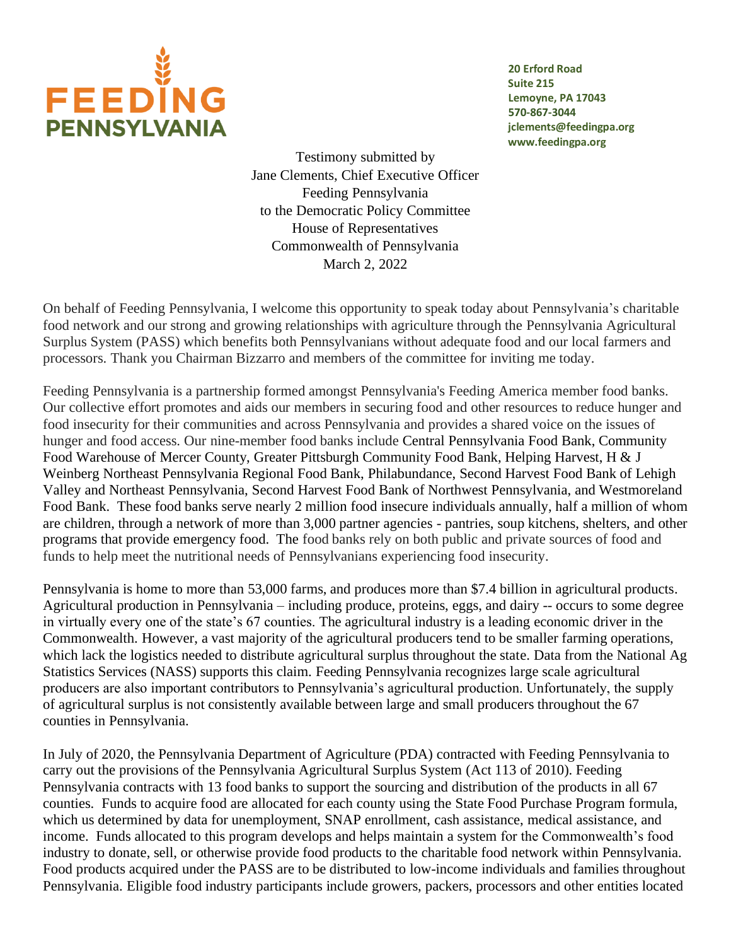

**20 Erford Road Suite 215 Lemoyne, PA 17043 570-867-3044 jclements@feedingpa.org [www.feedingpa.org](http://www.feedingpa.org/)**

Testimony submitted by Jane Clements, Chief Executive Officer Feeding Pennsylvania to the Democratic Policy Committee House of Representatives Commonwealth of Pennsylvania March 2, 2022

On behalf of Feeding Pennsylvania, I welcome this opportunity to speak today about Pennsylvania's charitable food network and our strong and growing relationships with agriculture through the Pennsylvania Agricultural Surplus System (PASS) which benefits both Pennsylvanians without adequate food and our local farmers and processors. Thank you Chairman Bizzarro and members of the committee for inviting me today.

Feeding Pennsylvania is a partnership formed amongst Pennsylvania's Feeding America member food banks. Our collective effort promotes and aids our members in securing food and other resources to reduce hunger and food insecurity for their communities and across Pennsylvania and provides a shared voice on the issues of hunger and food access. Our nine-member food banks include Central Pennsylvania Food Bank, Community Food Warehouse of Mercer County, Greater Pittsburgh Community Food Bank, Helping Harvest, H & J Weinberg Northeast Pennsylvania Regional Food Bank, Philabundance, Second Harvest Food Bank of Lehigh Valley and Northeast Pennsylvania, Second Harvest Food Bank of Northwest Pennsylvania, and Westmoreland Food Bank. These food banks serve nearly 2 million food insecure individuals annually, half a million of whom are children, through a network of more than 3,000 partner agencies - pantries, soup kitchens, shelters, and other programs that provide emergency food. The food banks rely on both public and private sources of food and funds to help meet the nutritional needs of Pennsylvanians experiencing food insecurity.

Pennsylvania is home to more than 53,000 farms, and produces more than \$7.4 billion in agricultural products. Agricultural production in Pennsylvania – including produce, proteins, eggs, and dairy -- occurs to some degree in virtually every one of the state's 67 counties. The agricultural industry is a leading economic driver in the Commonwealth. However, a vast majority of the agricultural producers tend to be smaller farming operations, which lack the logistics needed to distribute agricultural surplus throughout the state. Data from the National Ag Statistics Services (NASS) supports this claim. Feeding Pennsylvania recognizes large scale agricultural producers are also important contributors to Pennsylvania's agricultural production. Unfortunately, the supply of agricultural surplus is not consistently available between large and small producers throughout the 67 counties in Pennsylvania.

In July of 2020, the Pennsylvania Department of Agriculture (PDA) contracted with Feeding Pennsylvania to carry out the provisions of the Pennsylvania Agricultural Surplus System (Act 113 of 2010). Feeding Pennsylvania contracts with 13 food banks to support the sourcing and distribution of the products in all 67 counties. Funds to acquire food are allocated for each county using the State Food Purchase Program formula, which us determined by data for unemployment, SNAP enrollment, cash assistance, medical assistance, and income. Funds allocated to this program develops and helps maintain a system for the Commonwealth's food industry to donate, sell, or otherwise provide food products to the charitable food network within Pennsylvania. Food products acquired under the PASS are to be distributed to low-income individuals and families throughout Pennsylvania. Eligible food industry participants include growers, packers, processors and other entities located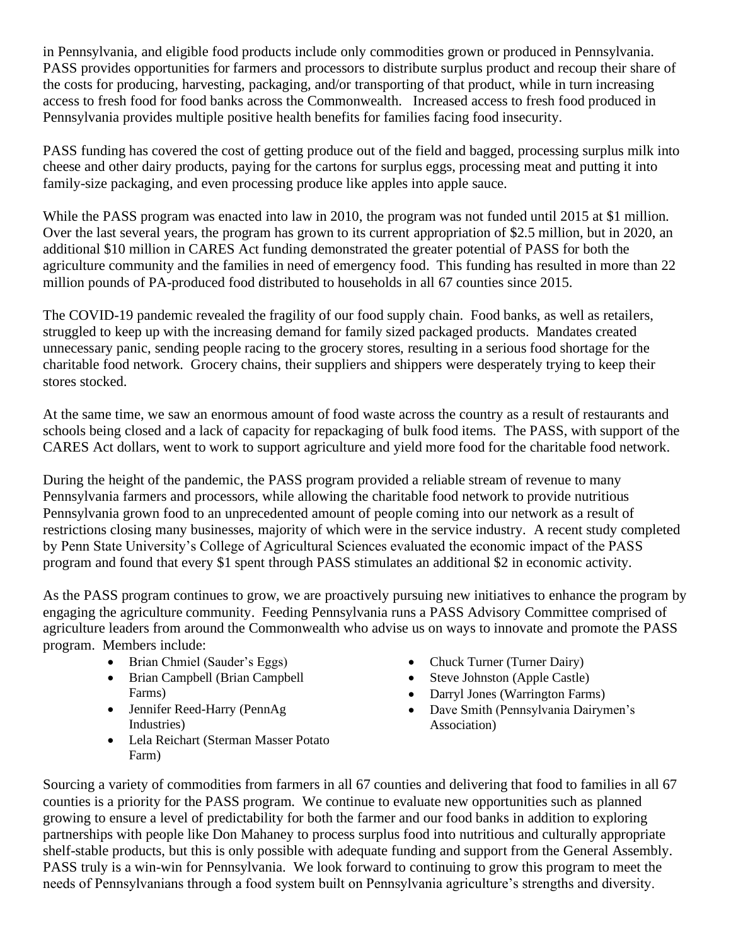in Pennsylvania, and eligible food products include only commodities grown or produced in Pennsylvania. PASS provides opportunities for farmers and processors to distribute surplus product and recoup their share of the costs for producing, harvesting, packaging, and/or transporting of that product, while in turn increasing access to fresh food for food banks across the Commonwealth. Increased access to fresh food produced in Pennsylvania provides multiple positive health benefits for families facing food insecurity.

PASS funding has covered the cost of getting produce out of the field and bagged, processing surplus milk into cheese and other dairy products, paying for the cartons for surplus eggs, processing meat and putting it into family-size packaging, and even processing produce like apples into apple sauce.

While the PASS program was enacted into law in 2010, the program was not funded until 2015 at \$1 million. Over the last several years, the program has grown to its current appropriation of \$2.5 million, but in 2020, an additional \$10 million in CARES Act funding demonstrated the greater potential of PASS for both the agriculture community and the families in need of emergency food. This funding has resulted in more than 22 million pounds of PA-produced food distributed to households in all 67 counties since 2015.

The COVID-19 pandemic revealed the fragility of our food supply chain. Food banks, as well as retailers, struggled to keep up with the increasing demand for family sized packaged products. Mandates created unnecessary panic, sending people racing to the grocery stores, resulting in a serious food shortage for the charitable food network. Grocery chains, their suppliers and shippers were desperately trying to keep their stores stocked.

At the same time, we saw an enormous amount of food waste across the country as a result of restaurants and schools being closed and a lack of capacity for repackaging of bulk food items. The PASS, with support of the CARES Act dollars, went to work to support agriculture and yield more food for the charitable food network.

During the height of the pandemic, the PASS program provided a reliable stream of revenue to many Pennsylvania farmers and processors, while allowing the charitable food network to provide nutritious Pennsylvania grown food to an unprecedented amount of people coming into our network as a result of restrictions closing many businesses, majority of which were in the service industry. A recent study completed by Penn State University's College of Agricultural Sciences evaluated the economic impact of the PASS program and found that every \$1 spent through PASS stimulates an additional \$2 in economic activity.

As the PASS program continues to grow, we are proactively pursuing new initiatives to enhance the program by engaging the agriculture community. Feeding Pennsylvania runs a PASS Advisory Committee comprised of agriculture leaders from around the Commonwealth who advise us on ways to innovate and promote the PASS program. Members include:

- Brian Chmiel (Sauder's Eggs)
- Brian Campbell (Brian Campbell Farms)
- Jennifer Reed-Harry (PennAg Industries)
- Lela Reichart (Sterman Masser Potato Farm)
- Chuck Turner (Turner Dairy)
- Steve Johnston (Apple Castle)
- Darryl Jones (Warrington Farms)
- Dave Smith (Pennsylvania Dairymen's Association)

Sourcing a variety of commodities from farmers in all 67 counties and delivering that food to families in all 67 counties is a priority for the PASS program. We continue to evaluate new opportunities such as planned growing to ensure a level of predictability for both the farmer and our food banks in addition to exploring partnerships with people like Don Mahaney to process surplus food into nutritious and culturally appropriate shelf-stable products, but this is only possible with adequate funding and support from the General Assembly. PASS truly is a win-win for Pennsylvania. We look forward to continuing to grow this program to meet the needs of Pennsylvanians through a food system built on Pennsylvania agriculture's strengths and diversity.